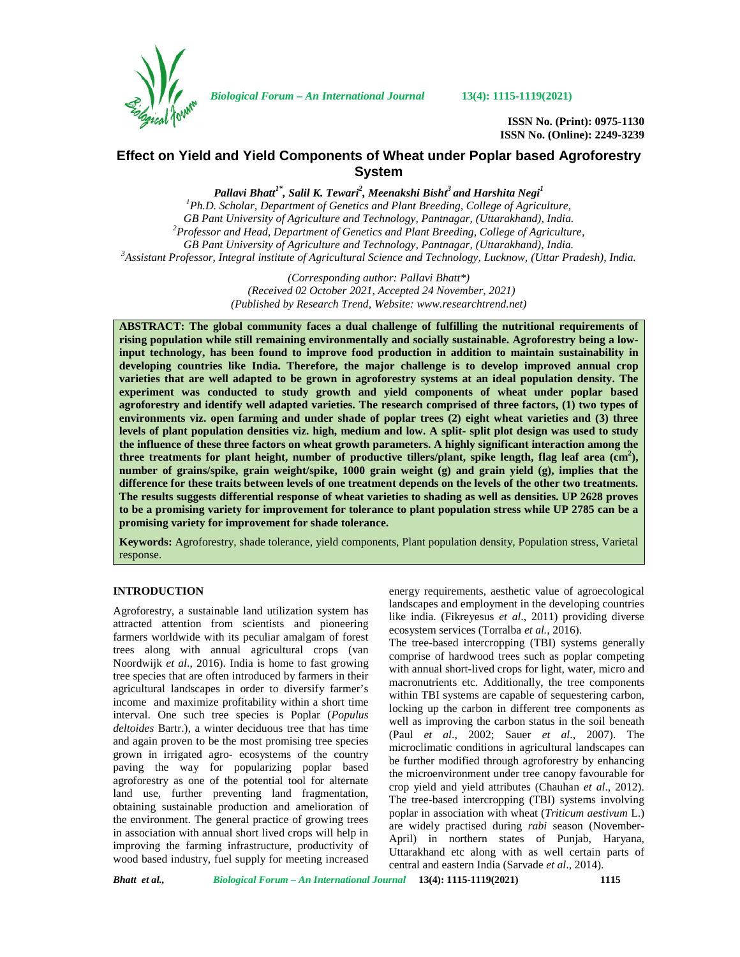

*Biological Forum – An International Journal* **13(4): 1115-1119(2021)**

**ISSN No. (Print): 0975-1130 ISSN No. (Online): 2249-3239**

# **Effect on Yield and Yield Components of Wheat under Poplar based Agroforestry System**

*Pallavi Bhatt1\* , Salil K. Tewari<sup>2</sup> , Meenakshi Bisht<sup>3</sup> and Harshita Negi<sup>1</sup>*

*<sup>1</sup>Ph.D. Scholar, Department of Genetics and Plant Breeding, College of Agriculture, GB Pant University of Agriculture and Technology, Pantnagar, (Uttarakhand), India. <sup>2</sup>Professor and Head, Department of Genetics and Plant Breeding, College of Agriculture,* GB Pant University of Agriculture and Technology, Pantnagar, (Uttarakhand), India.<br><sup>3</sup> Assistant Professor, Integral institute of Agricultural Science and Technology, Lucknow, (Uttar Pradesh), India.

> *(Corresponding author: Pallavi Bhatt\*) (Received 02 October 2021, Accepted 24 November, 2021) (Published by Research Trend, Website: [www.researchtrend.net\)](www.researchtrend.net)*

**ABSTRACT: The global community faces a dual challenge of fulfilling the nutritional requirements of rising population while still remaining environmentally and socially sustainable. Agroforestry being a lowinput technology, has been found to improve food production in addition to maintain sustainability in developing countries like India. Therefore, the major challenge is to develop improved annual crop varieties that are well adapted to be grown in agroforestry systems at an ideal population density. The experiment was conducted to study growth and yield components of wheat under poplar based agroforestry and identify well adapted varieties. The research comprised of three factors, (1) two types of environments viz. open farming and under shade of poplar trees (2) eight wheat varieties and (3) three levels of plant population densities viz. high, medium and low. A split- split plot design was used to study the influence of these three factors on wheat growth parameters. A highly significant interaction among the three treatments for plant height, number of productive tillers/plant, spike length, flag leaf area (cm<sup>2</sup>), number of grains/spike, grain weight/spike, 1000 grain weight (g) and grain yield (g), implies that the difference for these traits between levels of one treatment depends on the levels of the other two treatments. The results suggests differential response of wheat varieties to shading as well as densities. UP 2628 proves to be a promising variety for improvement for tolerance to plant population stress while UP 2785 can be a promising variety for improvement for shade tolerance.**

**Keywords:** Agroforestry, shade tolerance, yield components, Plant population density, Population stress, Varietal response.

# **INTRODUCTION**

Agroforestry, a sustainable land utilization system has attracted attention from scientists and pioneering farmers worldwide with its peculiar amalgam of forest trees along with annual agricultural crops (van Noordwijk *et al*., 2016). India is home to fast growing tree species that are often introduced by farmers in their agricultural landscapes in order to diversify farmer's income and maximize profitability within a short time interval. One such tree species is Poplar (*Populus deltoides* Bartr.), a winter deciduous tree that has time and again proven to be the most promising tree species grown in irrigated agro- ecosystems of the country paving the way for popularizing poplar based agroforestry as one of the potential tool for alternate land use, further preventing land fragmentation, obtaining sustainable production and amelioration of the environment. The general practice of growing trees in association with annual short lived crops will help in improving the farming infrastructure, productivity of wood based industry, fuel supply for meeting increased energy requirements, aesthetic value of agroecological landscapes and employment in the developing countries like india. (Fikreyesus *et al*., 2011) providing diverse ecosystem services (Torralba *et al.,* 2016).

The tree-based intercropping (TBI) systems generally comprise of hardwood trees such as poplar competing with annual short-lived crops for light, water, micro and macronutrients etc. Additionally, the tree components within TBI systems are capable of sequestering carbon, locking up the carbon in different tree components as well as improving the carbon status in the soil beneath (Paul *et al*., 2002; Sauer *et al*., 2007). The microclimatic conditions in agricultural landscapes can be further modified through agroforestry by enhancing the microenvironment under tree canopy favourable for crop yield and yield attributes (Chauhan *et al*., 2012). The tree-based intercropping (TBI) systems involving poplar in association with wheat (*Triticum aestivum* L.) are widely practised during *rabi* season (November- April) in northern states of Punjab, Haryana, Uttarakhand etc along with as well certain parts of central and eastern India (Sarvade *et al*., 2014).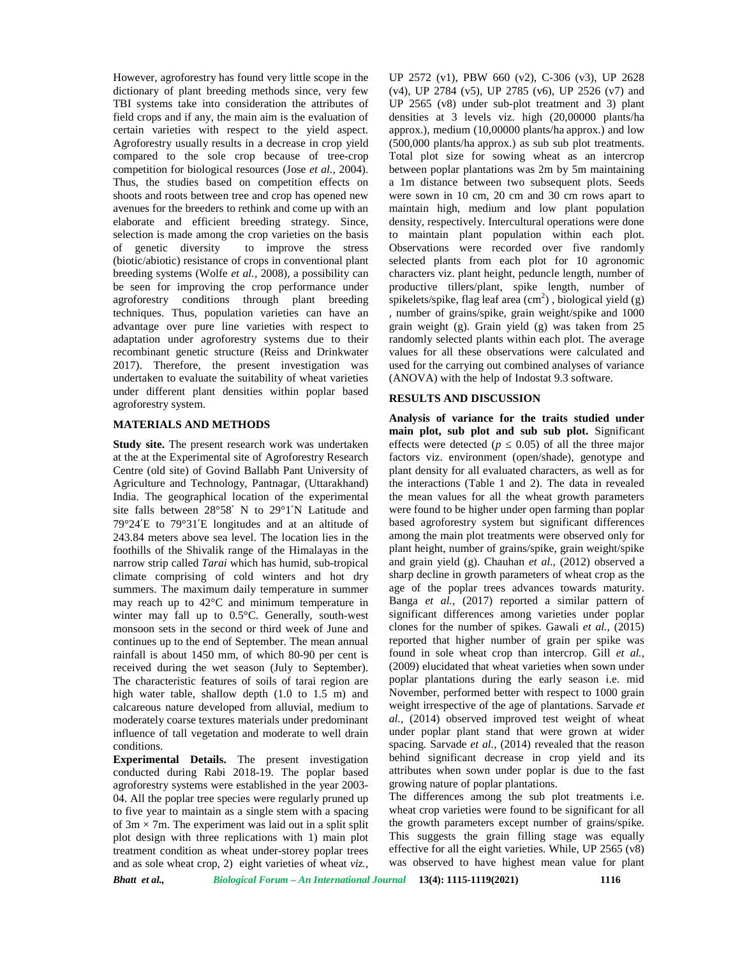However, agroforestry has found very little scope in the dictionary of plant breeding methods since, very few TBI systems take into consideration the attributes of field crops and if any, the main aim is the evaluation of certain varieties with respect to the yield aspect. Agroforestry usually results in a decrease in crop yield compared to the sole crop because of tree-crop competition for biological resources (Jose *et al.,* 2004). Thus, the studies based on competition effects on shoots and roots between tree and crop has opened new avenues for the breeders to rethink and come up with an elaborate and efficient breeding strategy. Since, selection is made among the crop varieties on the basis of genetic diversity to improve the stress (biotic/abiotic) resistance of crops in conventional plant breeding systems (Wolfe *et al.,* 2008), a possibility can be seen for improving the crop performance under agroforestry conditions through plant breeding techniques. Thus, population varieties can have an advantage over pure line varieties with respect to adaptation under agroforestry systems due to their recombinant genetic structure (Reiss and Drinkwater 2017). Therefore, the present investigation was undertaken to evaluate the suitability of wheat varieties under different plant densities within poplar based agroforestry system.

## **MATERIALS AND METHODS**

**Study site.** The present research work was undertaken at the at the Experimental site of Agroforestry Research Centre (old site) of Govind Ballabh Pant University of Agriculture and Technology, Pantnagar, (Uttarakhand) India. The geographical location of the experimental site falls between 28°58′ N to 29°1′N Latitude and 79°24′E to 79°31′E longitudes and at an altitude of 243.84 meters above sea level. The location lies in the foothills of the Shivalik range of the Himalayas in the narrow strip called *Tarai* which has humid, sub-tropical climate comprising of cold winters and hot dry summers. The maximum daily temperature in summer may reach up to 42°C and minimum temperature in winter may fall up to 0.5°C. Generally, south-west monsoon sets in the second or third week of June and continues up to the end of September. The mean annual rainfall is about 1450 mm, of which 80-90 per cent is received during the wet season (July to September). The characteristic features of soils of tarai region are high water table, shallow depth (1.0 to 1.5 m) and calcareous nature developed from alluvial, medium to moderately coarse textures materials under predominant influence of tall vegetation and moderate to well drain conditions.

**Experimental Details.** The present investigation conducted during Rabi 2018-19. The poplar based agroforestry systems were established in the year 2003- 04. All the poplar tree species were regularly pruned up to five year to maintain as a single stem with a spacing of  $3m \times 7m$ . The experiment was laid out in a split split plot design with three replications with 1) main plot treatment condition as wheat under-storey poplar trees and as sole wheat crop, 2) eight varieties of wheat *viz.,*

UP 2572 (v1), PBW 660 (v2), C-306 (v3), UP 2628 (v4), UP 2784 (v5), UP 2785 (v6), UP 2526 (v7) and UP 2565 (v8) under sub-plot treatment and 3) plant densities at 3 levels viz. high (20,00000 plants/ha approx.), medium (10,00000 plants/ha approx.) and low (500,000 plants/ha approx.) as sub sub plot treatments. Total plot size for sowing wheat as an intercrop between poplar plantations was 2m by 5m maintaining a 1m distance between two subsequent plots. Seeds were sown in 10 cm, 20 cm and 30 cm rows apart to maintain high, medium and low plant population density, respectively. Intercultural operations were done to maintain plant population within each plot. Observations were recorded over five randomly selected plants from each plot for 10 agronomic characters viz. plant height, peduncle length, number of productive tillers/plant, spike length, number of spikelets/spike, flag leaf area  $(cm<sup>2</sup>)$ , biological yield (g) , number of grains/spike, grain weight/spike and 1000 grain weight (g). Grain yield (g) was taken from 25 randomly selected plants within each plot. The average values for all these observations were calculated and used for the carrying out combined analyses of variance (ANOVA) with the help of Indostat 9.3 software.

## **RESULTS AND DISCUSSION**

**Analysis of variance for the traits studied under main plot, sub plot and sub sub plot.** Significant effects were detected  $(p \t 0.05)$  of all the three major factors viz. environment (open/shade), genotype and plant density for all evaluated characters, as well as for the interactions (Table 1 and 2). The data in revealed the mean values for all the wheat growth parameters were found to be higher under open farming than poplar based agroforestry system but significant differences among the main plot treatments were observed only for plant height, number of grains/spike, grain weight/spike and grain yield (g). Chauhan *et al*., (2012) observed a sharp decline in growth parameters of wheat crop as the age of the poplar trees advances towards maturity. Banga *et al.,* (2017) reported a similar pattern of significant differences among varieties under poplar clones for the number of spikes. Gawali *et al.,* (2015) reported that higher number of grain per spike was found in sole wheat crop than intercrop. Gill *et al.,* (2009) elucidated that wheat varieties when sown under poplar plantations during the early season i.e. mid November, performed better with respect to 1000 grain weight irrespective of the age of plantations. Sarvade *et al.,* (2014) observed improved test weight of wheat under poplar plant stand that were grown at wider spacing. Sarvade *et al.,* (2014) revealed that the reason behind significant decrease in crop yield and its attributes when sown under poplar is due to the fast growing nature of poplar plantations.

The differences among the sub plot treatments i.e. wheat crop varieties were found to be significant for all the growth parameters except number of grains/spike. This suggests the grain filling stage was equally effective for all the eight varieties. While, UP 2565 (v8) was observed to have highest mean value for plant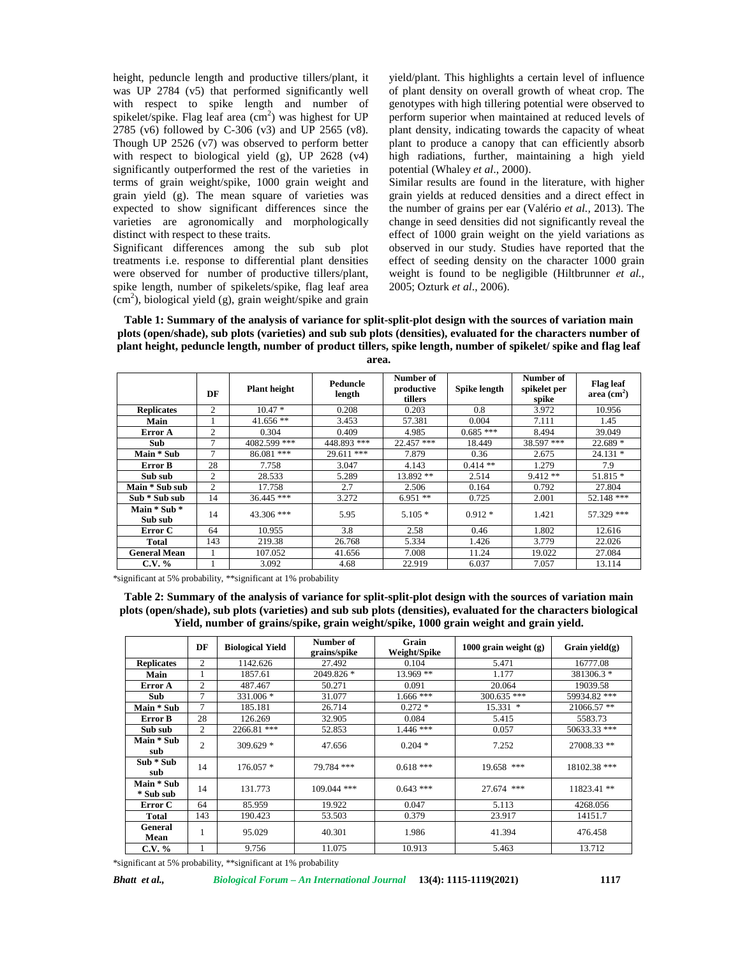height, peduncle length and productive tillers/plant, it was UP 2784 (v5) that performed significantly well with respect to spike length and number of spikelet/spike. Flag leaf area  $(cm<sup>2</sup>)$  was highest for UP 2785 (v6) followed by C-306 (v3) and UP 2565 (v8). Though UP 2526 (v7) was observed to perform better with respect to biological yield (g), UP 2628 (v4) significantly outperformed the rest of the varieties in terms of grain weight/spike, 1000 grain weight and grain yield (g). The mean square of varieties was expected to show significant differences since the varieties are agronomically and morphologically distinct with respect to these traits.

Significant differences among the sub sub plot treatments i.e. response to differential plant densities were observed for number of productive tillers/plant, spike length, number of spikelets/spike, flag leaf area  $(cm<sup>2</sup>)$ , biological yield (g), grain weight/spike and grain yield/plant. This highlights a certain level of influence of plant density on overall growth of wheat crop. The genotypes with high tillering potential were observed to perform superior when maintained at reduced levels of plant density, indicating towards the capacity of wheat plant to produce a canopy that can efficiently absorb high radiations, further, maintaining a high yield potential (Whaley *et al*., 2000).

Similar results are found in the literature, with higher grain yields at reduced densities and a direct effect in the number of grains per ear (Valério *et al.,* 2013). The change in seed densities did not significantly reveal the effect of 1000 grain weight on the yield variations as observed in our study. Studies have reported that the effect of seeding density on the character 1000 grain weight is found to be negligible (Hiltbrunner *et al.,* 2005; Ozturk *et al*., 2006).



|                         | DF             | <b>Plant</b> height | Peduncle<br>length | Number of<br>productive<br>tillers | Spike length | Number of<br>spikelet per<br>spike | <b>Flag leaf</b><br>area $(cm2)$ |
|-------------------------|----------------|---------------------|--------------------|------------------------------------|--------------|------------------------------------|----------------------------------|
| <b>Replicates</b>       | 2              | $10.47*$            | 0.208              | 0.203                              | 0.8          | 3.972                              | 10.956                           |
| Main                    |                | $41.656$ **         | 3.453              | 57.381                             | 0.004        | 7.111                              | 1.45                             |
| Error A                 | $\overline{c}$ | 0.304               | 0.409              | 4.985                              | $0.685***$   | 8.494                              | 39.049                           |
| Sub                     | $\tau$         | 4082.599 ***        | 448.893 ***        | $22.457$ ***                       | 18.449       | 38.597 ***                         | $22.689*$                        |
| Main * Sub              | $\tau$         | 86.081 ***          | 29.611 ***         | 7.879                              | 0.36         | 2.675                              | $24.131*$                        |
| Error B                 | 28             | 7.758               | 3.047              | 4.143                              | $0.414$ **   | 1.279                              | 7.9                              |
| Sub sub                 | $\overline{2}$ | 28.533              | 5.289              | 13.892 **                          | 2.514        | $9.412**$                          | $51.815*$                        |
| Main * Sub sub          | 2              | 17.758              | 2.7                | 2.506                              | 0.164        | 0.792                              | 27.804                           |
| Sub * Sub sub           | 14             | $36.445$ ***        | 3.272              | $6.951**$                          | 0.725        | 2.001                              | 52.148 ***                       |
| Main * Sub *<br>Sub sub | 14             | 43.306 ***          | 5.95               | $5.105*$                           | $0.912*$     | 1.421                              | 57.329 ***                       |
| Error C                 | 64             | 10.955              | 3.8                | 2.58                               | 0.46         | 1.802                              | 12.616                           |
| Total                   | 143            | 219.38              | 26.768             | 5.334                              | 1.426        | 3.779                              | 22.026                           |
| <b>General Mean</b>     |                | 107.052             | 41.656             | 7.008                              | 11.24        | 19.022                             | 27.084                           |
| $C.V. \%$               |                | 3.092               | 4.68               | 22.919                             | 6.037        | 7.057                              | 13.114                           |

\*significant at 5% probability, \*\*significant at 1% probability

**Table 2: Summary of the analysis of variance for split-split-plot design with the sources of variation main plots (open/shade), sub plots (varieties) and sub sub plots (densities), evaluated for the characters biological Yield, number of grains/spike, grain weight/spike, 1000 grain weight and grain yield.**

|                         | DF             | <b>Biological Yield</b> | Number of<br>grains/spike | Grain<br>Weight/Spike | 1000 grain weight $(g)$ | Grain yield $(g)$ |
|-------------------------|----------------|-------------------------|---------------------------|-----------------------|-------------------------|-------------------|
| <b>Replicates</b>       | $\overline{c}$ | 1142.626                | 27.492                    | 0.104                 | 5.471                   | 16777.08          |
| Main                    |                | 1857.61                 | 2049.826 *                | 13.969 **             | 1.177                   | 381306.3 *        |
| Error A                 | $\overline{c}$ | 487.467                 | 50.271                    | 0.091                 | 20.064                  | 19039.58          |
| Sub                     | 7              | 331.006 *               | 31.077                    | $1.666$ ***           | 300.635 ***             | 59934.82 ***      |
| Main * Sub              | 7              | 185.181                 | 26.714                    | $0.272*$              | $15.331$ *              | $21066.57$ **     |
| Error B                 | 28             | 126.269                 | 32.905                    | 0.084                 | 5.415                   | 5583.73           |
| Sub sub                 | $\overline{c}$ | 2266.81 ***             | 52.853                    | $1.446$ ***           | 0.057                   | 50633.33 ***      |
| Main * Sub<br>sub       | $\overline{2}$ | $309.629$ *             | 47.656                    | $0.204*$              | 7.252                   | 27008.33 **       |
| Sub * Sub<br>sub        | 14             | $176.057*$              | 79.784 ***                | $0.618***$            | 19.658 ***              | 18102.38 ***      |
| Main * Sub<br>* Sub sub | 14             | 131.773                 | $109.044$ ***             | $0.643$ ***           | 27.674 ***              | $11823.41$ **     |
| Error C                 | 64             | 85.959                  | 19.922                    | 0.047                 | 5.113                   | 4268.056          |
| <b>Total</b>            | 143            | 190.423                 | 53.503                    | 0.379                 | 23.917                  | 14151.7           |
| General<br>Mean         |                | 95.029                  | 40.301                    | 1.986                 | 41.394                  | 476.458           |
| C.V. %                  |                | 9.756                   | 11.075                    | 10.913                | 5.463                   | 13.712            |

\*significant at 5% probability, \*\*significant at 1% probability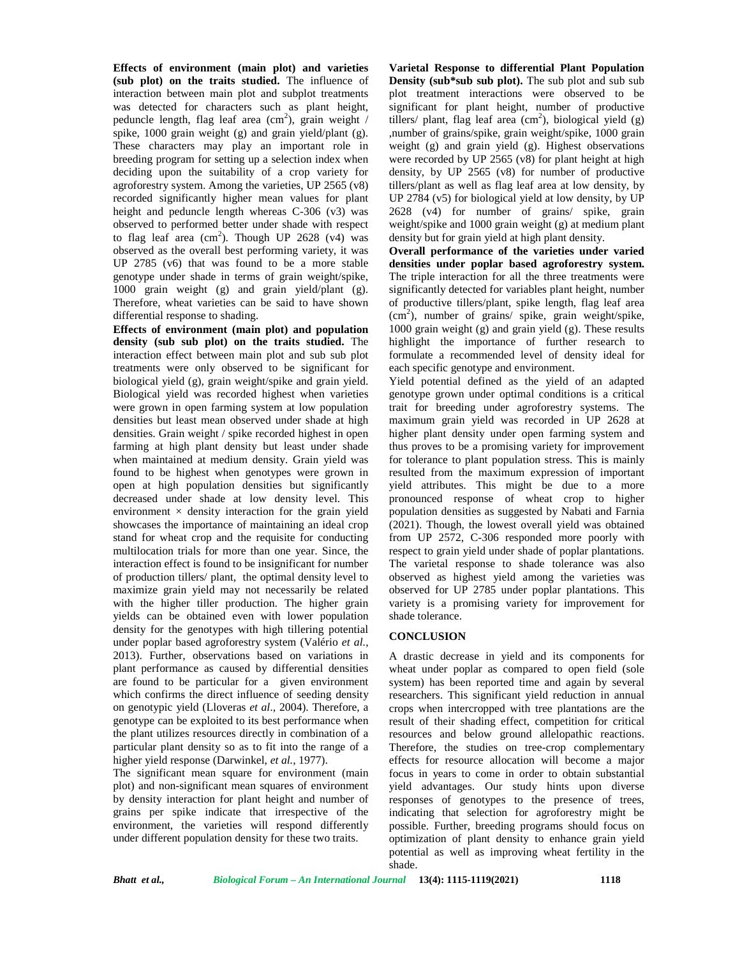**Effects of environment (main plot) and varieties (sub plot) on the traits studied.** The influence of interaction between main plot and subplot treatments was detected for characters such as plant height, peduncle length, flag leaf area  $(cm<sup>2</sup>)$ , grain weight / spike, 1000 grain weight (g) and grain yield/plant (g). These characters may play an important role in breeding program for setting up a selection index when deciding upon the suitability of a crop variety for agroforestry system. Among the varieties, UP 2565 (v8) recorded significantly higher mean values for plant height and peduncle length whereas C-306 (v3) was observed to performed better under shade with respect to flag leaf area  $(cm<sup>2</sup>)$ . Though UP 2628 (v4) was observed as the overall best performing variety, it was UP 2785 (v6) that was found to be a more stable genotype under shade in terms of grain weight/spike, 1000 grain weight (g) and grain yield/plant (g). Therefore, wheat varieties can be said to have shown differential response to shading.

**Effects of environment (main plot) and population density (sub sub plot) on the traits studied.** The interaction effect between main plot and sub sub plot treatments were only observed to be significant for biological yield (g), grain weight/spike and grain yield. Biological yield was recorded highest when varieties were grown in open farming system at low population densities but least mean observed under shade at high densities. Grain weight / spike recorded highest in open farming at high plant density but least under shade when maintained at medium density. Grain yield was found to be highest when genotypes were grown in open at high population densities but significantly decreased under shade at low density level. This environment  $\times$  density interaction for the grain yield showcases the importance of maintaining an ideal crop stand for wheat crop and the requisite for conducting multilocation trials for more than one year. Since, the interaction effect is found to be insignificant for number of production tillers/ plant, the optimal density level to maximize grain yield may not necessarily be related with the higher tiller production. The higher grain yields can be obtained even with lower population density for the genotypes with high tillering potential under poplar based agroforestry system (Valério *et al.,* 2013). Further, observations based on variations in plant performance as caused by differential densities are found to be particular for a given environment which confirms the direct influence of seeding density on genotypic yield (Lloveras *et al*., 2004). Therefore, a genotype can be exploited to its best performance when the plant utilizes resources directly in combination of a particular plant density so as to fit into the range of a higher yield response (Darwinkel, *et al.*, 1977).

The significant mean square for environment (main plot) and non-significant mean squares of environment by density interaction for plant height and number of grains per spike indicate that irrespective of the environment, the varieties will respond differently under different population density for these two traits.

**Varietal Response to differential Plant Population Density (sub\*sub sub plot).** The sub plot and sub sub plot treatment interactions were observed to be significant for plant height, number of productive tillers/ plant, flag leaf area  $(cm<sup>2</sup>)$ , biological yield (g) ,number of grains/spike, grain weight/spike, 1000 grain weight (g) and grain yield (g). Highest observations were recorded by UP 2565 (v8) for plant height at high density, by UP 2565 (v8) for number of productive tillers/plant as well as flag leaf area at low density, by UP 2784 (v5) for biological yield at low density, by UP 2628 (v4) for number of grains/ spike, grain weight/spike and 1000 grain weight (g) at medium plant density but for grain yield at high plant density.

**Overall performance of the varieties under varied densities under poplar based agroforestry system.** The triple interaction for all the three treatments were significantly detected for variables plant height, number of productive tillers/plant, spike length, flag leaf area  $(cm<sup>2</sup>)$ , number of grains/ spike, grain weight/spike, 1000 grain weight (g) and grain yield (g). These results highlight the importance of further research to formulate a recommended level of density ideal for each specific genotype and environment.

Yield potential defined as the yield of an adapted genotype grown under optimal conditions is a critical trait for breeding under agroforestry systems. The maximum grain yield was recorded in UP 2628 at higher plant density under open farming system and thus proves to be a promising variety for improvement for tolerance to plant population stress. This is mainly resulted from the maximum expression of important yield attributes. This might be due to a more pronounced response of wheat crop to higher population densities as suggested by Nabati and Farnia (2021). Though, the lowest overall yield was obtained from UP 2572, C-306 responded more poorly with respect to grain yield under shade of poplar plantations. The varietal response to shade tolerance was also observed as highest yield among the varieties was observed for UP 2785 under poplar plantations. This variety is a promising variety for improvement for shade tolerance.

#### **CONCLUSION**

A drastic decrease in yield and its components for wheat under poplar as compared to open field (sole system) has been reported time and again by several researchers. This significant yield reduction in annual crops when intercropped with tree plantations are the result of their shading effect, competition for critical resources and below ground allelopathic reactions. Therefore, the studies on tree-crop complementary effects for resource allocation will become a major focus in years to come in order to obtain substantial yield advantages. Our study hints upon diverse responses of genotypes to the presence of trees, indicating that selection for agroforestry might be possible. Further, breeding programs should focus on optimization of plant density to enhance grain yield potential as well as improving wheat fertility in the shade.